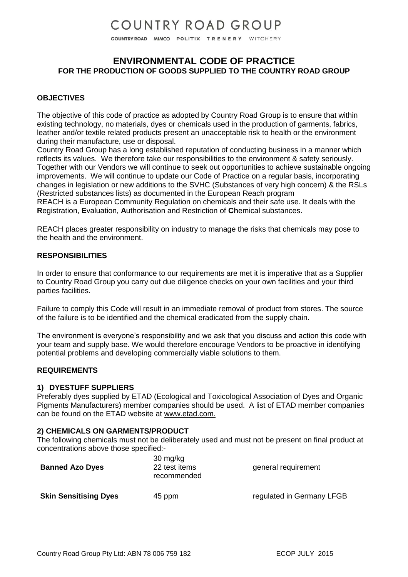COUNTRY ROAD MIMCO POLITIX TRENERY WITCHERY

## **ENVIRONMENTAL CODE OF PRACTICE FOR THE PRODUCTION OF GOODS SUPPLIED TO THE COUNTRY ROAD GROUP**

### **OBJECTIVES**

The objective of this code of practice as adopted by Country Road Group is to ensure that within existing technology, no materials, dyes or chemicals used in the production of garments, fabrics, leather and/or textile related products present an unacceptable risk to health or the environment during their manufacture, use or disposal.

Country Road Group has a long established reputation of conducting business in a manner which reflects its values. We therefore take our responsibilities to the environment & safety seriously. Together with our Vendors we will continue to seek out opportunities to achieve sustainable ongoing improvements. We will continue to update our Code of Practice on a regular basis, incorporating changes in legislation or new additions to the SVHC (Substances of very high concern) & the RSLs (Restricted substances lists) as documented in the European Reach program

REACH is a European Community Regulation on chemicals and their safe use. It deals with the **R**egistration, **E**valuation, **A**uthorisation and Restriction of **Ch**emical substances.

REACH places greater responsibility on industry to manage the risks that chemicals may pose to the health and the environment.

#### **RESPONSIBILITIES**

In order to ensure that conformance to our requirements are met it is imperative that as a Supplier to Country Road Group you carry out due diligence checks on your own facilities and your third parties facilities.

Failure to comply this Code will result in an immediate removal of product from stores. The source of the failure is to be identified and the chemical eradicated from the supply chain.

The environment is everyone's responsibility and we ask that you discuss and action this code with your team and supply base. We would therefore encourage Vendors to be proactive in identifying potential problems and developing commercially viable solutions to them.

#### **REQUIREMENTS**

#### **1) DYESTUFF SUPPLIERS**

Preferably dyes supplied by ETAD (Ecological and Toxicological Association of Dyes and Organic Pigments Manufacturers) member companies should be used. A list of ETAD member companies can be found on the ETAD website at [www.etad.com.](http://www.etad.com/)

#### **2) CHEMICALS ON GARMENTS/PRODUCT**

The following chemicals must not be deliberately used and must not be present on final product at concentrations above those specified:-

| <b>Banned Azo Dyes</b>       | $30 \text{ mg/kg}$<br>22 test items<br>recommended | general requirement       |
|------------------------------|----------------------------------------------------|---------------------------|
| <b>Skin Sensitising Dyes</b> | 45 ppm                                             | regulated in Germany LFGB |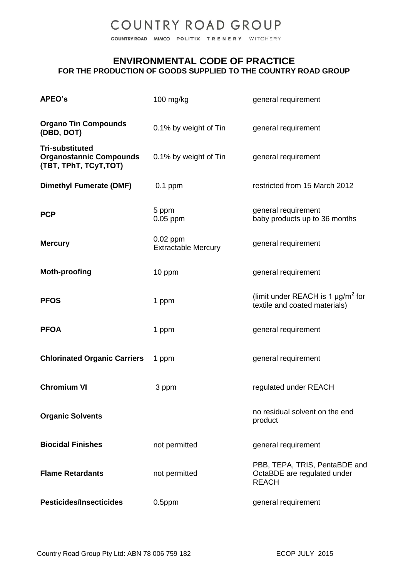COUNTRY ROAD MIMCO POLITIX TRENERY WITCHERY

### **ENVIRONMENTAL CODE OF PRACTICE FOR THE PRODUCTION OF GOODS SUPPLIED TO THE COUNTRY ROAD GROUP**

| <b>APEO's</b>                                                                      | $100$ mg/kg                              | general requirement                                                                 |
|------------------------------------------------------------------------------------|------------------------------------------|-------------------------------------------------------------------------------------|
| <b>Organo Tin Compounds</b><br>(DBD, DOT)                                          | 0.1% by weight of Tin                    | general requirement                                                                 |
| <b>Tri-substituted</b><br><b>Organostannic Compounds</b><br>(TBT, TPhT, TCyT, TOT) | 0.1% by weight of Tin                    | general requirement                                                                 |
| <b>Dimethyl Fumerate (DMF)</b>                                                     | $0.1$ ppm                                | restricted from 15 March 2012                                                       |
| <b>PCP</b>                                                                         | 5 ppm<br>$0.05$ ppm                      | general requirement<br>baby products up to 36 months                                |
| <b>Mercury</b>                                                                     | $0.02$ ppm<br><b>Extractable Mercury</b> | general requirement                                                                 |
| <b>Moth-proofing</b>                                                               | 10 ppm                                   | general requirement                                                                 |
| <b>PFOS</b>                                                                        | 1 ppm                                    | (limit under REACH is 1 $\mu$ g/m <sup>2</sup> for<br>textile and coated materials) |
| <b>PFOA</b>                                                                        | 1 ppm                                    | general requirement                                                                 |
| <b>Chlorinated Organic Carriers</b>                                                | 1 ppm                                    | general requirement                                                                 |
| <b>Chromium VI</b>                                                                 | 3 ppm                                    | regulated under REACH                                                               |
| <b>Organic Solvents</b>                                                            |                                          | no residual solvent on the end<br>product                                           |
| <b>Biocidal Finishes</b>                                                           | not permitted                            | general requirement                                                                 |
| <b>Flame Retardants</b>                                                            | not permitted                            | PBB, TEPA, TRIS, PentaBDE and<br>OctaBDE are regulated under<br><b>REACH</b>        |
| <b>Pesticides/Insecticides</b>                                                     | $0.5$ ppm                                | general requirement                                                                 |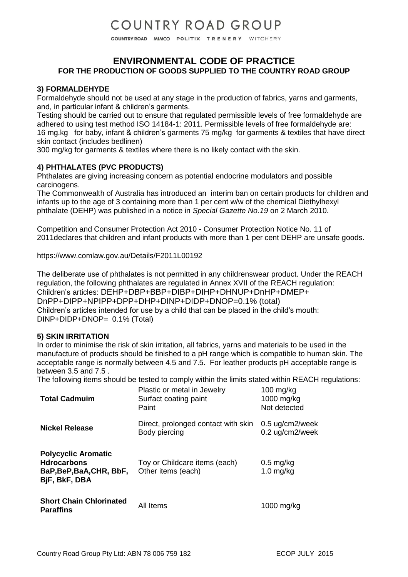COUNTRY ROAD MIMCO POLITIX TRENERY WITCHERY

## **ENVIRONMENTAL CODE OF PRACTICE FOR THE PRODUCTION OF GOODS SUPPLIED TO THE COUNTRY ROAD GROUP**

### **3) FORMALDEHYDE**

Formaldehyde should not be used at any stage in the production of fabrics, yarns and garments, and, in particular infant & children's garments.

Testing should be carried out to ensure that regulated permissible levels of free formaldehyde are adhered to using test method ISO 14184-1: 2011. Permissible levels of free formaldehyde are: 16 mg.kg for baby, infant & children's garments 75 mg/kg for garments & textiles that have direct skin contact (includes bedlinen)

300 mg/kg for garments & textiles where there is no likely contact with the skin.

### **4) PHTHALATES (PVC PRODUCTS)**

Phthalates are giving increasing concern as potential endocrine modulators and possible carcinogens.

The Commonwealth of Australia has introduced an interim ban on certain products for children and infants up to the age of 3 containing more than 1 per cent w/w of the chemical Diethylhexyl phthalate (DEHP) was published in a notice in *Special Gazette No.19* on 2 March 2010.

Competition and Consumer Protection Act 2010 - Consumer Protection Notice No. 11 of 2011declares that children and infant products with more than 1 per cent DEHP are unsafe goods.

https://www.comlaw.gov.au/Details/F2011L00192

The deliberate use of phthalates is not permitted in any childrenswear product. Under the REACH regulation, the following phthalates are regulated in Annex XVII of the REACH regulation: Children's articles: DEHP+DBP+BBP+DIBP+DIHP+DHNUP+DnHP+DMEP+ DnPP+DIPP+NPIPP+DPP+DHP+DINP+DIDP+DNOP=0.1% (total) Children's articles intended for use by a child that can be placed in the child's mouth: DINP+DIDP+DNOP= 0.1% (Total)

### **5) SKIN IRRITATION**

In order to minimise the risk of skin irritation, all fabrics, yarns and materials to be used in the manufacture of products should be finished to a pH range which is compatible to human skin. The acceptable range is normally between 4.5 and 7.5. For leather products pH acceptable range is between 3.5 and 7.5 .

The following items should be tested to comply within the limits stated within REACH regulations:

| <b>Total Cadmuim</b>                                                                          | Plastic or metal in Jewelry<br>Surfact coating paint<br>Paint | $100$ mg/kg<br>1000 mg/kg<br>Not detected     |
|-----------------------------------------------------------------------------------------------|---------------------------------------------------------------|-----------------------------------------------|
| <b>Nickel Release</b>                                                                         | Direct, prolonged contact with skin<br>Body piercing          | $0.5 \text{ uq/cm}$ 2/week<br>0.2 ug/cm2/week |
| <b>Polycyclic Aromatic</b><br><b>Hdrocarbons</b><br>BaP, BeP, BaA, CHR, BbF,<br>BjF, BkF, DBA | Toy or Childcare items (each)<br>Other items (each)           | $0.5$ mg/kg<br>$1.0$ mg/kg                    |
| <b>Short Chain Chlorinated</b><br><b>Paraffins</b>                                            | All Items                                                     | 1000 mg/kg                                    |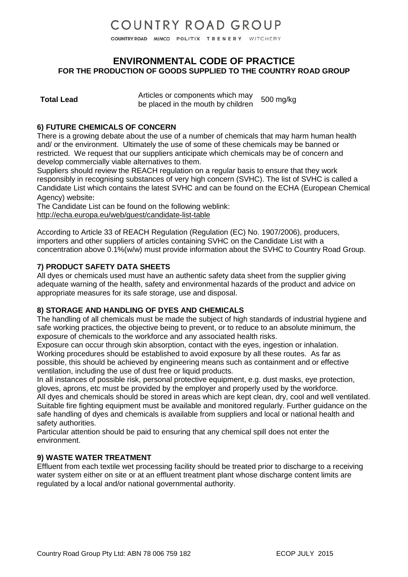COUNTRY ROAD MIMCO POLITIX TRENERY WITCHERY

## **ENVIRONMENTAL CODE OF PRACTICE FOR THE PRODUCTION OF GOODS SUPPLIED TO THE COUNTRY ROAD GROUP**

Articles or components which may Articles of components which may<br>be placed in the mouth by children 500 mg/kg

### **6) FUTURE CHEMICALS OF CONCERN**

There is a growing debate about the use of a number of chemicals that may harm human health and/ or the environment. Ultimately the use of some of these chemicals may be banned or restricted. We request that our suppliers anticipate which chemicals may be of concern and develop commercially viable alternatives to them.

Suppliers should review the REACH regulation on a regular basis to ensure that they work responsibly in recognising substances of very high concern (SVHC). The list of SVHC is called a Candidate List which contains the latest SVHC and can be found on the ECHA (European Chemical Agency) website:

The Candidate List can be found on the following weblink: <http://echa.europa.eu/web/guest/candidate-list-table>

According to Article 33 of REACH Regulation (Regulation (EC) No. 1907/2006), producers, importers and other suppliers of articles containing SVHC on the Candidate List with a concentration above 0.1%(w/w) must provide information about the SVHC to Country Road Group.

### **7) PRODUCT SAFETY DATA SHEETS**

All dyes or chemicals used must have an authentic safety data sheet from the supplier giving adequate warning of the health, safety and environmental hazards of the product and advice on appropriate measures for its safe storage, use and disposal.

#### **8) STORAGE AND HANDLING OF DYES AND CHEMICALS**

The handling of all chemicals must be made the subject of high standards of industrial hygiene and safe working practices, the objective being to prevent, or to reduce to an absolute minimum, the exposure of chemicals to the workforce and any associated health risks.

Exposure can occur through skin absorption, contact with the eyes, ingestion or inhalation. Working procedures should be established to avoid exposure by all these routes. As far as possible, this should be achieved by engineering means such as containment and or effective ventilation, including the use of dust free or liquid products.

In all instances of possible risk, personal protective equipment, e.g. dust masks, eye protection, gloves, aprons, etc must be provided by the employer and properly used by the workforce.

All dyes and chemicals should be stored in areas which are kept clean, dry, cool and well ventilated. Suitable fire fighting equipment must be available and monitored regularly. Further guidance on the safe handling of dyes and chemicals is available from suppliers and local or national health and safety authorities.

Particular attention should be paid to ensuring that any chemical spill does not enter the environment.

### **9) WASTE WATER TREATMENT**

Effluent from each textile wet processing facility should be treated prior to discharge to a receiving water system either on site or at an effluent treatment plant whose discharge content limits are regulated by a local and/or national governmental authority.